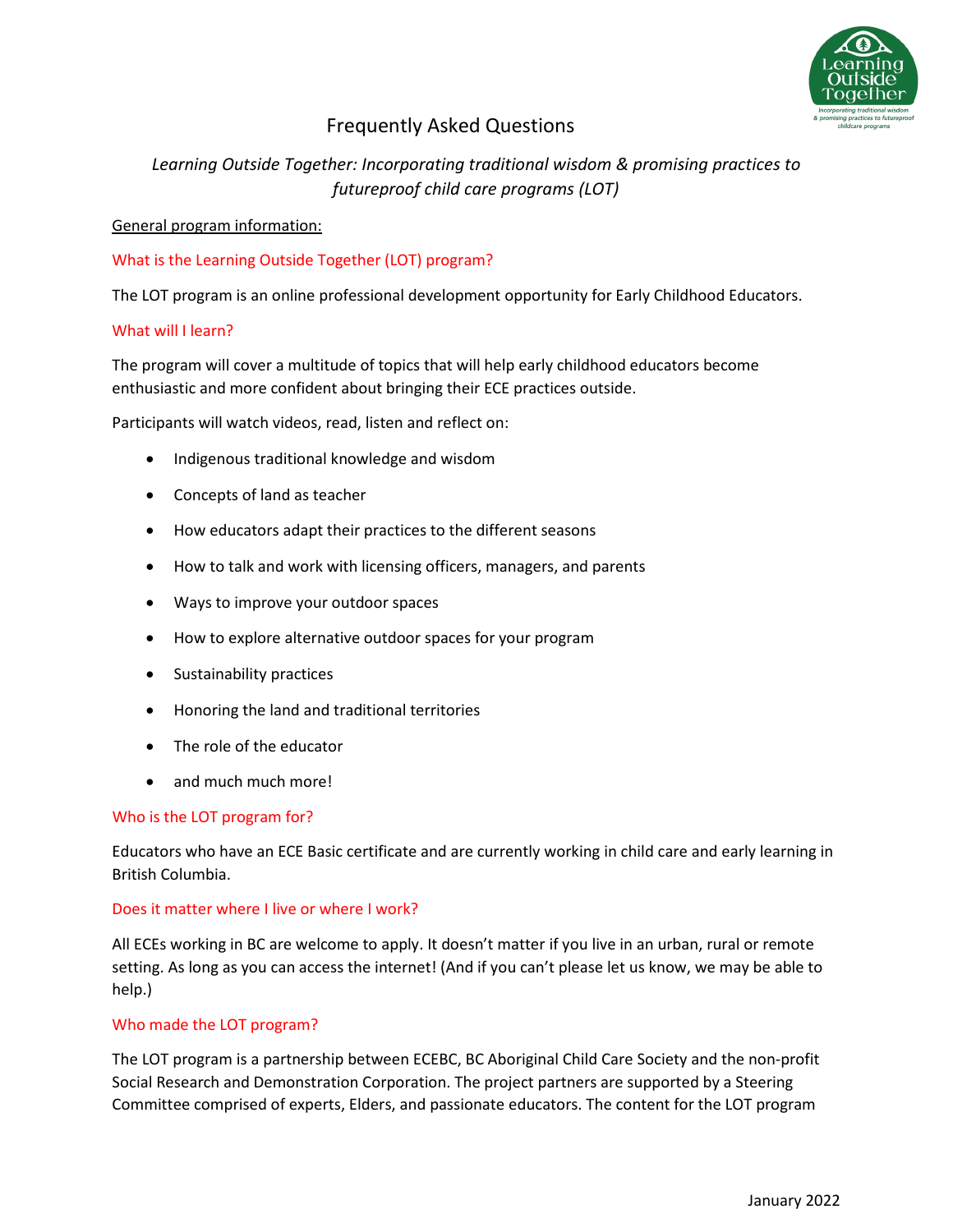

# Frequently Asked Questions

# *Learning Outside Together: Incorporating traditional wisdom & promising practices to futureproof child care programs (LOT)*

# General program information:

# What is the Learning Outside Together (LOT) program?

The LOT program is an online professional development opportunity for Early Childhood Educators.

# What will I learn?

The program will cover a multitude of topics that will help early childhood educators become enthusiastic and more confident about bringing their ECE practices outside.

Participants will watch videos, read, listen and reflect on:

- Indigenous traditional knowledge and wisdom
- Concepts of land as teacher
- How educators adapt their practices to the different seasons
- How to talk and work with licensing officers, managers, and parents
- Ways to improve your outdoor spaces
- How to explore alternative outdoor spaces for your program
- Sustainability practices
- Honoring the land and traditional territories
- The role of the educator
- and much much more!

# Who is the LOT program for?

Educators who have an ECE Basic certificate and are currently working in child care and early learning in British Columbia.

# Does it matter where I live or where I work?

All ECEs working in BC are welcome to apply. It doesn't matter if you live in an urban, rural or remote setting. As long as you can access the internet! (And if you can't please let us know, we may be able to help.)

# Who made the LOT program?

The LOT program is a partnership between ECEBC, BC Aboriginal Child Care Society and the non-profit Social Research and Demonstration Corporation. The project partners are supported by a Steering Committee comprised of experts, Elders, and passionate educators. The content for the LOT program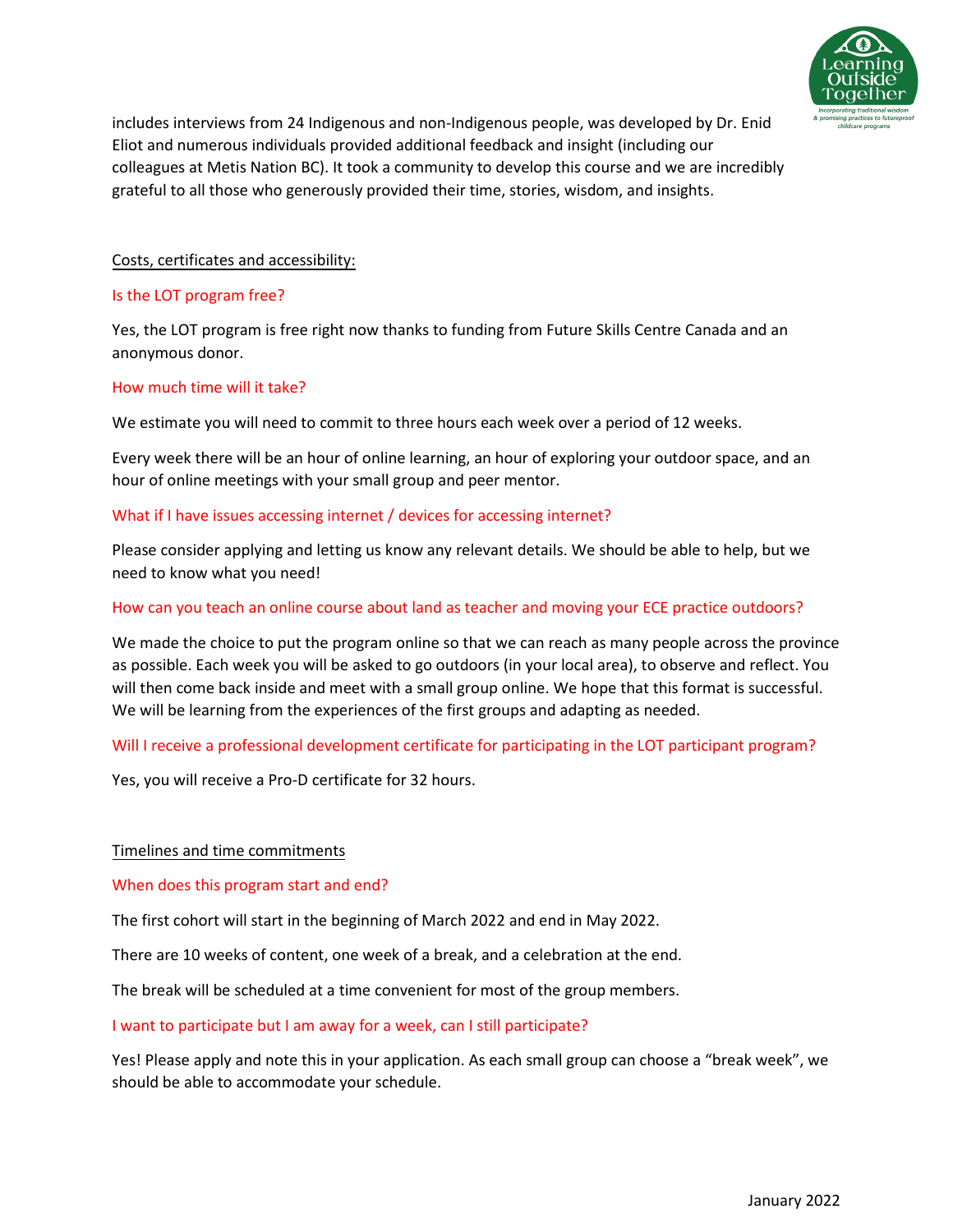

includes interviews from 24 Indigenous and non-Indigenous people, was developed by Dr. Enid Eliot and numerous individuals provided additional feedback and insight (including our colleagues at Metis Nation BC). It took a community to develop this course and we are incredibly grateful to all those who generously provided their time, stories, wisdom, and insights.

# Costs, certificates and accessibility:

# Is the LOT program free?

Yes, the LOT program is free right now thanks to funding from Future Skills Centre Canada and an anonymous donor.

# How much time will it take?

We estimate you will need to commit to three hours each week over a period of 12 weeks.

Every week there will be an hour of online learning, an hour of exploring your outdoor space, and an hour of online meetings with your small group and peer mentor.

# What if I have issues accessing internet / devices for accessing internet?

Please consider applying and letting us know any relevant details. We should be able to help, but we need to know what you need!

### How can you teach an online course about land as teacher and moving your ECE practice outdoors?

We made the choice to put the program online so that we can reach as many people across the province as possible. Each week you will be asked to go outdoors (in your local area), to observe and reflect. You will then come back inside and meet with a small group online. We hope that this format is successful. We will be learning from the experiences of the first groups and adapting as needed.

# Will I receive a professional development certificate for participating in the LOT participant program?

Yes, you will receive a Pro-D certificate for 32 hours.

#### Timelines and time commitments

When does this program start and end?

The first cohort will start in the beginning of March 2022 and end in May 2022.

There are 10 weeks of content, one week of a break, and a celebration at the end.

The break will be scheduled at a time convenient for most of the group members.

#### I want to participate but I am away for a week, can I still participate?

Yes! Please apply and note this in your application. As each small group can choose a "break week", we should be able to accommodate your schedule.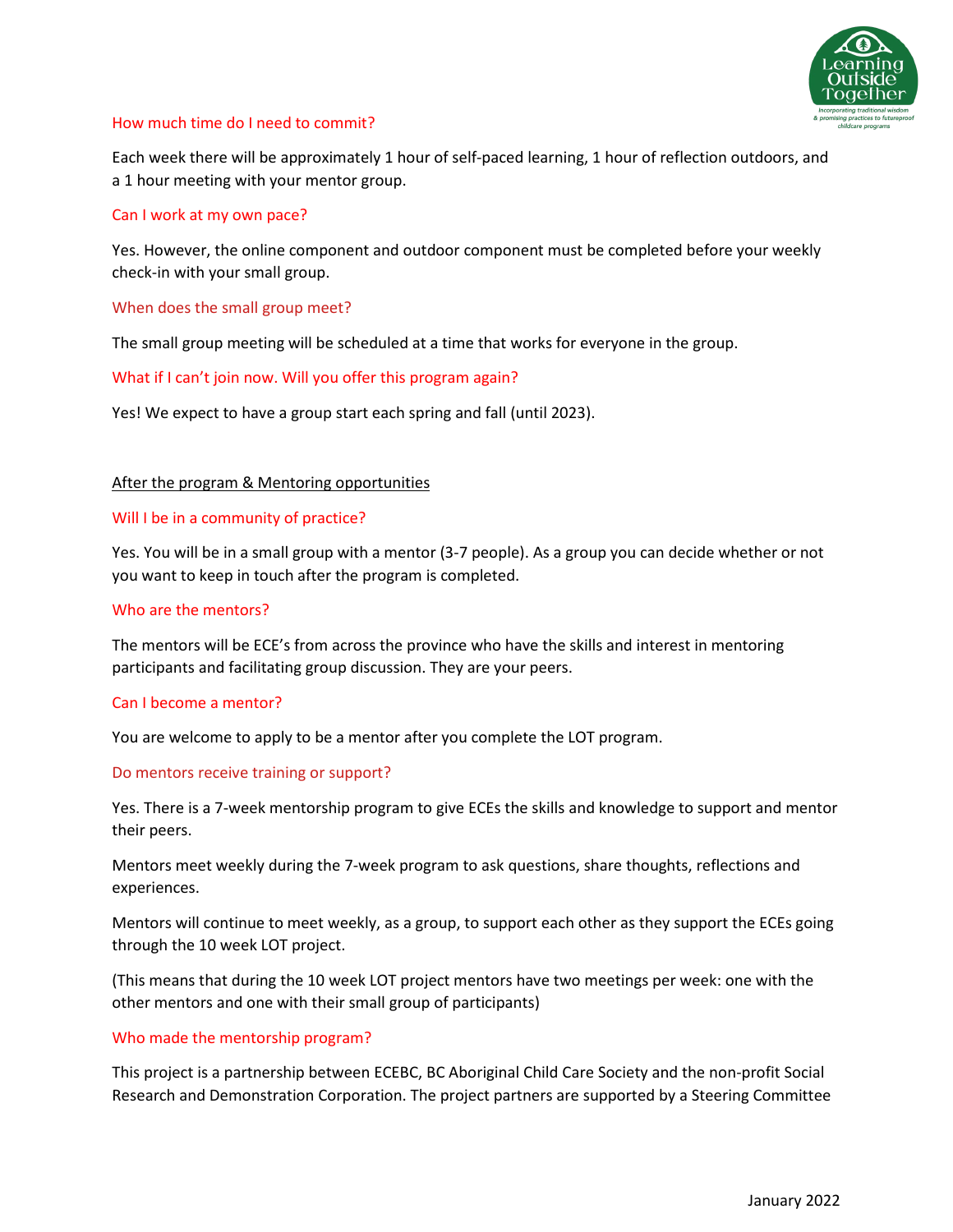

#### How much time do I need to commit?

Each week there will be approximately 1 hour of self-paced learning, 1 hour of reflection outdoors, and a 1 hour meeting with your mentor group.

#### Can I work at my own pace?

Yes. However, the online component and outdoor component must be completed before your weekly check-in with your small group.

When does the small group meet?

The small group meeting will be scheduled at a time that works for everyone in the group.

What if I can't join now. Will you offer this program again?

Yes! We expect to have a group start each spring and fall (until 2023).

#### After the program & Mentoring opportunities

#### Will I be in a community of practice?

Yes. You will be in a small group with a mentor (3-7 people). As a group you can decide whether or not you want to keep in touch after the program is completed.

#### Who are the mentors?

The mentors will be ECE's from across the province who have the skills and interest in mentoring participants and facilitating group discussion. They are your peers.

#### Can I become a mentor?

You are welcome to apply to be a mentor after you complete the LOT program.

#### Do mentors receive training or support?

Yes. There is a 7-week mentorship program to give ECEs the skills and knowledge to support and mentor their peers.

Mentors meet weekly during the 7-week program to ask questions, share thoughts, reflections and experiences.

Mentors will continue to meet weekly, as a group, to support each other as they support the ECEs going through the 10 week LOT project.

(This means that during the 10 week LOT project mentors have two meetings per week: one with the other mentors and one with their small group of participants)

#### Who made the mentorship program?

This project is a partnership between ECEBC, BC Aboriginal Child Care Society and the non-profit Social Research and Demonstration Corporation. The project partners are supported by a Steering Committee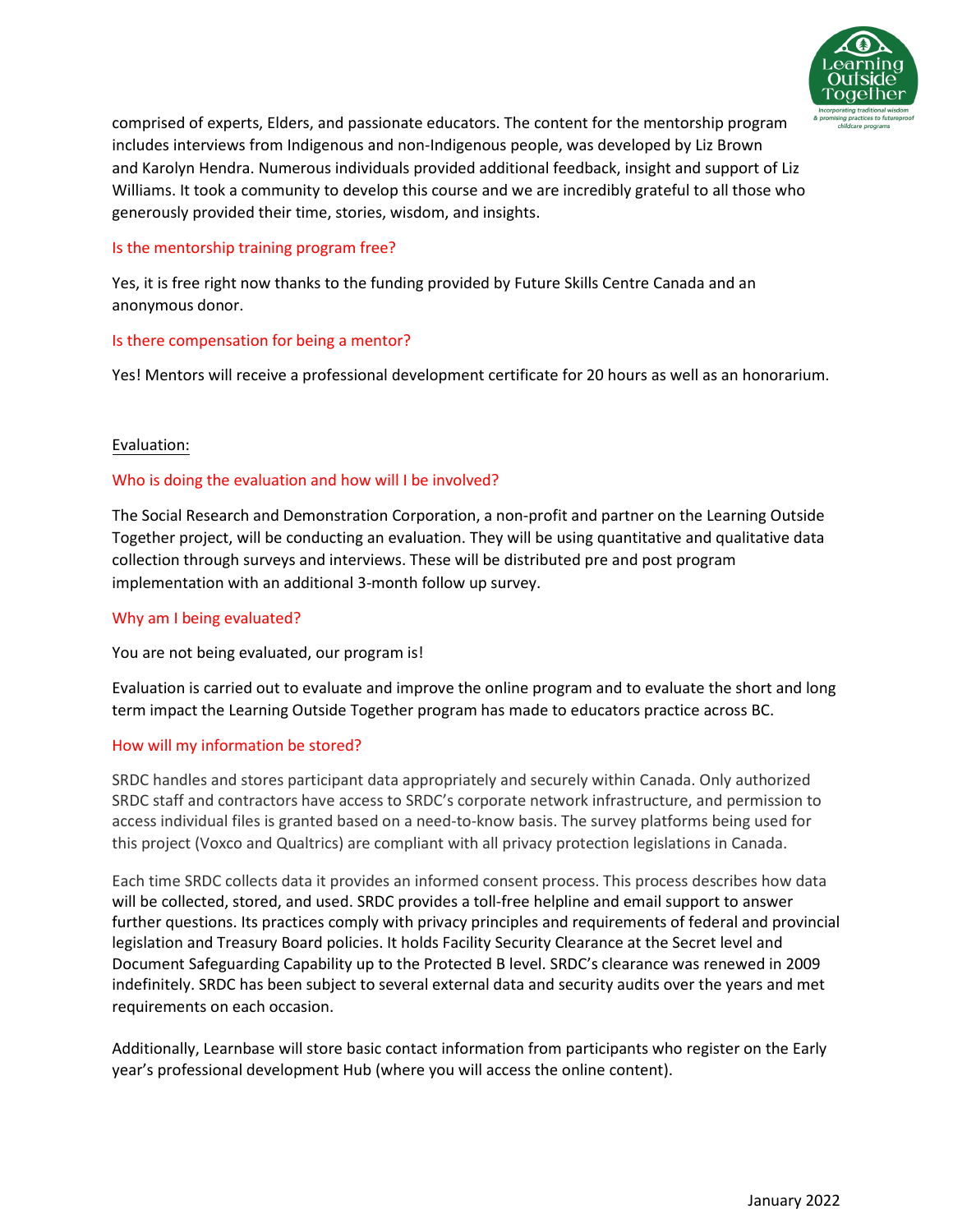

comprised of experts, Elders, and passionate educators. The content for the mentorship program includes interviews from Indigenous and non-Indigenous people, was developed by Liz Brown and Karolyn Hendra. Numerous individuals provided additional feedback, insight and support of Liz Williams. It took a community to develop this course and we are incredibly grateful to all those who generously provided their time, stories, wisdom, and insights.

# Is the mentorship training program free?

Yes, it is free right now thanks to the funding provided by Future Skills Centre Canada and an anonymous donor.

# Is there compensation for being a mentor?

Yes! Mentors will receive a professional development certificate for 20 hours as well as an honorarium.

# Evaluation:

# Who is doing the evaluation and how will I be involved?

The Social Research and Demonstration Corporation, a non-profit and partner on the Learning Outside Together project, will be conducting an evaluation. They will be using quantitative and qualitative data collection through surveys and interviews. These will be distributed pre and post program implementation with an additional 3-month follow up survey.

#### Why am I being evaluated?

You are not being evaluated, our program is!

Evaluation is carried out to evaluate and improve the online program and to evaluate the short and long term impact the Learning Outside Together program has made to educators practice across BC.

#### How will my information be stored?

SRDC handles and stores participant data appropriately and securely within Canada. Only authorized SRDC staff and contractors have access to SRDC's corporate network infrastructure, and permission to access individual files is granted based on a need-to-know basis. The survey platforms being used for this project (Voxco and Qualtrics) are compliant with all privacy protection legislations in Canada.

Each time SRDC collects data it provides an informed consent process. This process describes how data will be collected, stored, and used. SRDC provides a toll-free helpline and email support to answer further questions. Its practices comply with privacy principles and requirements of federal and provincial legislation and Treasury Board policies. It holds Facility Security Clearance at the Secret level and Document Safeguarding Capability up to the Protected B level. SRDC's clearance was renewed in 2009 indefinitely. SRDC has been subject to several external data and security audits over the years and met requirements on each occasion.

Additionally, Learnbase will store basic contact information from participants who register on the Early year's professional development Hub (where you will access the online content).